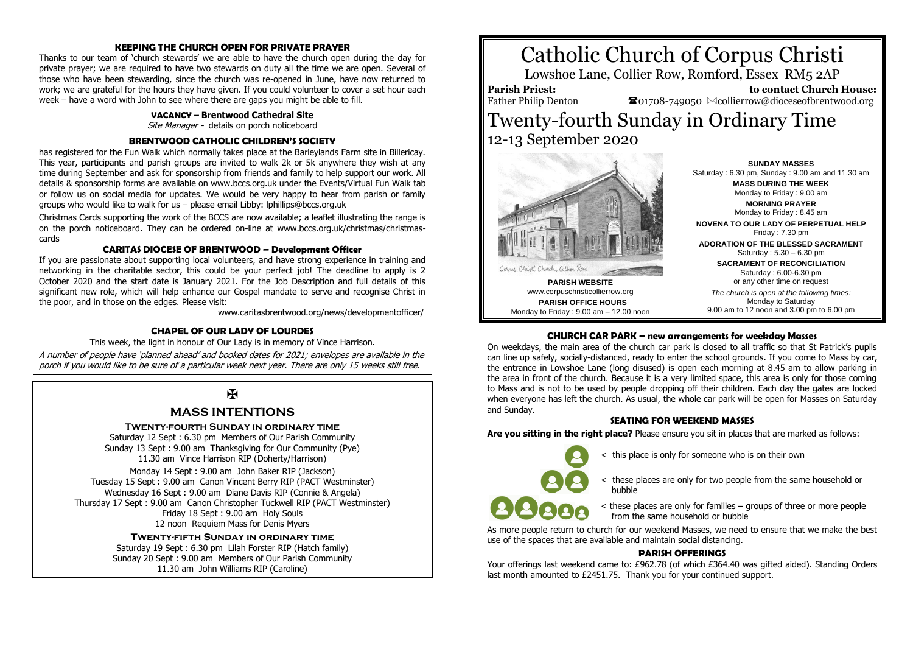## **KEEPING THE CHURCH OPEN FOR PRIVATE PRAYER**

Thanks to our team of 'church stewards' we are able to have the church open during the day for private prayer; we are required to have two stewards on duty all the time we are open. Several of those who have been stewarding, since the church was re-opened in June, have now returned to work; we are grateful for the hours they have given. If you could volunteer to cover a set hour each week – have a word with John to see where there are gaps you might be able to fill.

### **VACANCY – Brentwood Cathedral Site**

Site Manager - details on porch noticeboard

## **BRENTWOOD CATHOLIC CHILDREN'S SOCIETY**

has registered for the Fun Walk which normally takes place at the Barleylands Farm site in Billericay. This year, participants and parish groups are invited to walk 2k or 5k anywhere they wish at any time during September and ask for sponsorship from friends and family to help support our work. All details & sponsorship forms are available on www.bccs.org.uk under the Events/Virtual Fun Walk tab or follow us on social media for updates. We would be very happy to hear from parish or family groups who would like to walk for us – please email Libby: lphillips@bccs.org.uk

Christmas Cards supporting the work of the BCCS are now available; a leaflet illustrating the range is on the porch noticeboard. They can be ordered on-line at www.bccs.org.uk/christmas/christmascards

## **CARITAS DIOCESE OF BRENTWOOD – Development Officer**

If you are passionate about supporting local volunteers, and have strong experience in training and networking in the charitable sector, this could be your perfect job! The deadline to apply is 2 October 2020 and the start date is January 2021. For the Job Description and full details of this significant new role, which will help enhance our Gospel mandate to serve and recognise Christ in the poor, and in those on the edges. Please visit:

www.caritasbrentwood.org/news/developmentofficer/

## **CHAPEL OF OUR LADY OF LOURDES**

This week, the light in honour of Our Lady is in memory of Vince Harrison.

A number of people have 'planned ahead' and booked dates for 2021; envelopes are available in the porch if you would like to be sure of a particular week next year. There are only 15 weeks still free.

# $\overline{\mathbf{X}}$

# **MASS INTENTIONS**

## **Twenty-fourth Sunday in ordinary time**

Saturday 12 Sept : 6.30 pm Members of Our Parish Community Sunday 13 Sept : 9.00 am Thanksgiving for Our Community (Pye) 11.30 am Vince Harrison RIP (Doherty/Harrison)

Monday 14 Sept : 9.00 am John Baker RIP (Jackson) Tuesday 15 Sept : 9.00 am Canon Vincent Berry RIP (PACT Westminster) Wednesday 16 Sept : 9.00 am Diane Davis RIP (Connie & Angela) Thursday 17 Sept : 9.00 am Canon Christopher Tuckwell RIP (PACT Westminster) Friday 18 Sept : 9.00 am Holy Souls 12 noon Requiem Mass for Denis Myers

> **Twenty-fifth Sunday in ordinary time** Saturday 19 Sept : 6.30 pm Lilah Forster RIP (Hatch family) Sunday 20 Sept : 9.00 am Members of Our Parish Community 11.30 am John Williams RIP (Caroline)





**PARISH WEBSITE** www.corpuschristicollierrow.org **PARISH OFFICE HOURS** Monday to Friday : 9.00 am – 12.00 noon

**SUNDAY MASSES** Saturday : 6.30 pm, Sunday : 9.00 am and 11.30 am **MASS DURING THE WEEK** Monday to Friday : 9.00 am **MORNING PRAYER** Monday to Friday : 8.45 am **NOVENA TO OUR LADY OF PERPETUAL HELP** Friday : 7.30 pm **ADORATION OF THE BLESSED SACRAMENT** Saturday : 5.30 – 6.30 pm **SACRAMENT OF RECONCILIATION** Saturday : 6.00-6.30 pm or any other time on request *The church is open at the following times:* Monday to Saturday 9.00 am to 12 noon and 3.00 pm to 6.00 pm

## **CHURCH CAR PARK – new arrangements for weekday Masses**

On weekdays, the main area of the church car park is closed to all traffic so that St Patrick's pupils can line up safely, socially-distanced, ready to enter the school grounds. If you come to Mass by car, the entrance in Lowshoe Lane (long disused) is open each morning at 8.45 am to allow parking in the area in front of the church. Because it is a very limited space, this area is only for those coming to Mass and is not to be used by people dropping off their children. Each day the gates are locked when everyone has left the church. As usual, the whole car park will be open for Masses on Saturday and Sunday.

## **SEATING FOR WEEKEND MASSES**

**Are you sitting in the right place?** Please ensure you sit in places that are marked as follows:

< this place is only for someone who is on their own

< these places are only for two people from the same household or bubble

< these places are only for families – groups of three or more people from the same household or bubble

As more people return to church for our weekend Masses, we need to ensure that we make the best use of the spaces that are available and maintain social distancing.

## **PARISH OFFERINGS**

Your offerings last weekend came to: £962.78 (of which £364.40 was gifted aided). Standing Orders last month amounted to £2451.75. Thank you for your continued support.